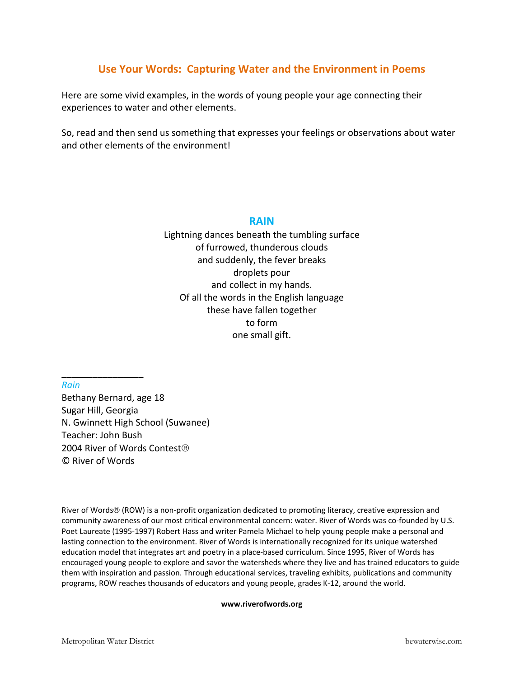# **Use Your Words: Capturing Water and the Environment in Poems**

Here are some vivid examples, in the words of young people your age connecting their experiences to water and other elements.

So, read and then send us something that expresses your feelings or observations about water and other elements of the environment!

#### **RAIN**

Lightning dances beneath the tumbling surface of furrowed, thunderous clouds and suddenly, the fever breaks droplets pour and collect in my hands. Of all the words in the English language these have fallen together to form one small gift.

*Rain*

\_\_\_\_\_\_\_\_\_\_\_\_\_\_\_\_

Bethany Bernard, age 18 Sugar Hill, Georgia N. Gwinnett High School (Suwanee) Teacher: John Bush 2004 River of Words Contest® © River of Words

River of Words® (ROW) is a non‐profit organization dedicated to promoting literacy, creative expression and community awareness of our most critical environmental concern: water. River of Words was co-founded by U.S. Poet Laureate (1995‐1997) Robert Hass and writer Pamela Michael to help young people make a personal and lasting connection to the environment. River of Words is internationally recognized for its unique watershed education model that integrates art and poetry in a place‐based curriculum. Since 1995, River of Words has encouraged young people to explore and savor the watersheds where they live and has trained educators to guide them with inspiration and passion. Through educational services, traveling exhibits, publications and community programs, ROW reaches thousands of educators and young people, grades K‐12, around the world.

#### **www.riverofwords.org**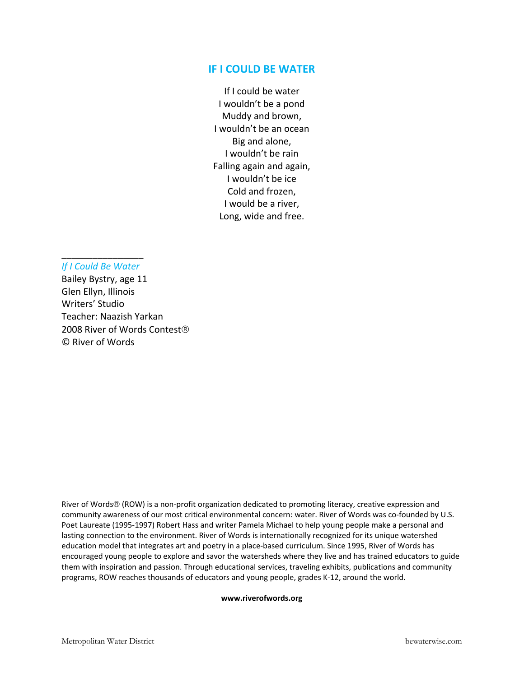#### **IF I COULD BE WATER**

If I could be water I wouldn't be a pond Muddy and brown, I wouldn't be an ocean Big and alone, I wouldn't be rain Falling again and again, I wouldn't be ice Cold and frozen, I would be a river, Long, wide and free.

### \_\_\_\_\_\_\_\_\_\_\_\_\_\_\_\_ *If I Could Be Water*

Bailey Bystry, age 11 Glen Ellyn, Illinois Writers' Studio Teacher: Naazish Yarkan 2008 River of Words Contest® © River of Words

River of Words® (ROW) is a non‐profit organization dedicated to promoting literacy, creative expression and community awareness of our most critical environmental concern: water. River of Words was co-founded by U.S. Poet Laureate (1995‐1997) Robert Hass and writer Pamela Michael to help young people make a personal and lasting connection to the environment. River of Words is internationally recognized for its unique watershed education model that integrates art and poetry in a place‐based curriculum. Since 1995, River of Words has encouraged young people to explore and savor the watersheds where they live and has trained educators to guide them with inspiration and passion. Through educational services, traveling exhibits, publications and community programs, ROW reaches thousands of educators and young people, grades K‐12, around the world.

#### **www.riverofwords.org**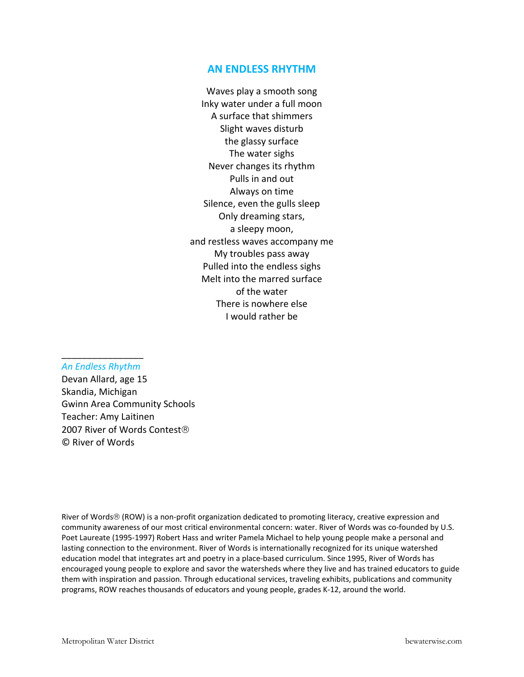## **AN ENDLESS RHYTHM**

Waves play a smooth song Inky water under a full moon A surface that shimmers Slight waves disturb the glassy surface The water sighs Never changes its rhythm Pulls in and out Always on time Silence, even the gulls sleep Only dreaming stars, a sleepy moon, and restless waves accompany me My troubles pass away Pulled into the endless sighs Melt into the marred surface of the water There is nowhere else I would rather be

## \_\_\_\_\_\_\_\_\_\_\_\_\_\_\_\_ *An Endless Rhythm*

Devan Allard, age 15 Skandia, Michigan Gwinn Area Community Schools Teacher: Amy Laitinen 2007 River of Words Contest® © River of Words

River of Words® (ROW) is a non-profit organization dedicated to promoting literacy, creative expression and community awareness of our most critical environmental concern: water. River of Words was co-founded by U.S. Poet Laureate (1995‐1997) Robert Hass and writer Pamela Michael to help young people make a personal and lasting connection to the environment. River of Words is internationally recognized for its unique watershed education model that integrates art and poetry in a place‐based curriculum. Since 1995, River of Words has encouraged young people to explore and savor the watersheds where they live and has trained educators to guide them with inspiration and passion. Through educational services, traveling exhibits, publications and community programs, ROW reaches thousands of educators and young people, grades K‐12, around the world.